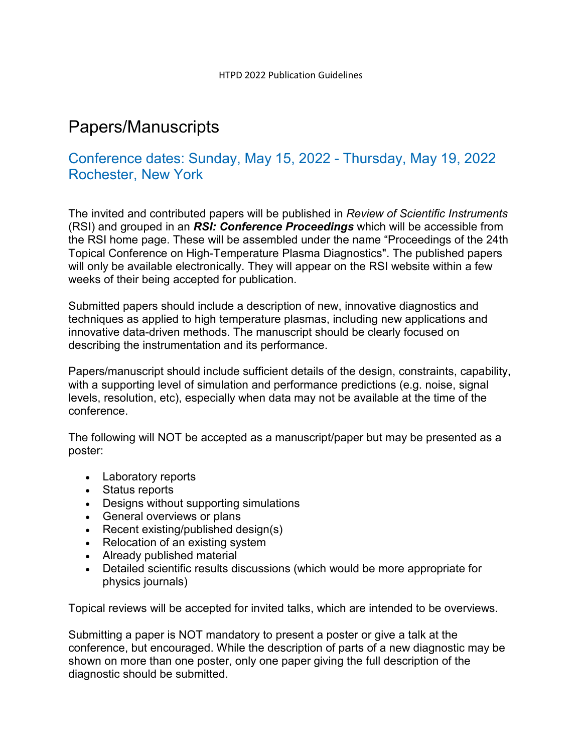## Papers/Manuscripts

## Conference dates: Sunday, May 15, 2022 - Thursday, May 19, 2022 Rochester, New York

The invited and contributed papers will be published in *Review of Scientific Instruments*  (RSI) and grouped in an *RSI: Conference Proceedings* which will be accessible from the RSI home page. These will be assembled under the name "Proceedings of the 24th Topical Conference on High-Temperature Plasma Diagnostics". The published papers will only be available electronically. They will appear on the RSI website within a few weeks of their being accepted for publication.

Submitted papers should include a description of new, innovative diagnostics and techniques as applied to high temperature plasmas, including new applications and innovative data-driven methods. The manuscript should be clearly focused on describing the instrumentation and its performance.

Papers/manuscript should include sufficient details of the design, constraints, capability, with a supporting level of simulation and performance predictions (e.g. noise, signal levels, resolution, etc), especially when data may not be available at the time of the conference.

The following will NOT be accepted as a manuscript/paper but may be presented as a poster:

- Laboratory reports
- Status reports
- Designs without supporting simulations
- General overviews or plans
- Recent existing/published design(s)
- Relocation of an existing system
- Already published material
- Detailed scientific results discussions (which would be more appropriate for physics journals)

Topical reviews will be accepted for invited talks, which are intended to be overviews.

Submitting a paper is NOT mandatory to present a poster or give a talk at the conference, but encouraged. While the description of parts of a new diagnostic may be shown on more than one poster, only one paper giving the full description of the diagnostic should be submitted.